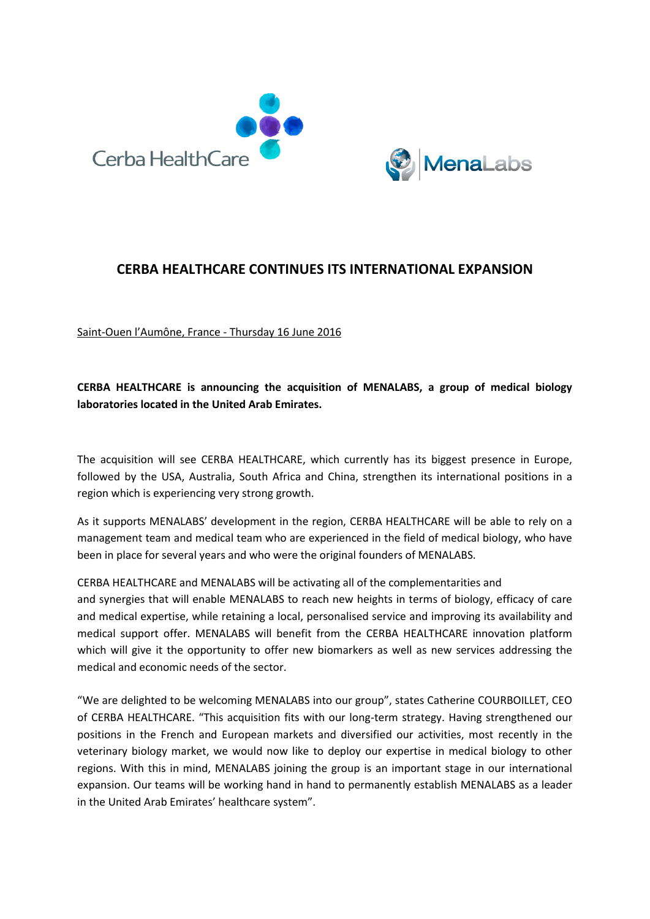



## **CERBA HEALTHCARE CONTINUES ITS INTERNATIONAL EXPANSION**

Saint-Ouen l'Aumône, France - Thursday 16 June 2016

# **CERBA HEALTHCARE is announcing the acquisition of MENALABS, a group of medical biology laboratories located in the United Arab Emirates.**

The acquisition will see CERBA HEALTHCARE, which currently has its biggest presence in Europe, followed by the USA, Australia, South Africa and China, strengthen its international positions in a region which is experiencing very strong growth.

As it supports MENALABS' development in the region, CERBA HEALTHCARE will be able to rely on a management team and medical team who are experienced in the field of medical biology, who have been in place for several years and who were the original founders of MENALABS.

CERBA HEALTHCARE and MENALABS will be activating all of the complementarities and and synergies that will enable MENALABS to reach new heights in terms of biology, efficacy of care and medical expertise, while retaining a local, personalised service and improving its availability and medical support offer. MENALABS will benefit from the CERBA HEALTHCARE innovation platform which will give it the opportunity to offer new biomarkers as well as new services addressing the medical and economic needs of the sector.

"We are delighted to be welcoming MENALABS into our group", states Catherine COURBOILLET, CEO of CERBA HEALTHCARE. "This acquisition fits with our long-term strategy. Having strengthened our positions in the French and European markets and diversified our activities, most recently in the veterinary biology market, we would now like to deploy our expertise in medical biology to other regions. With this in mind, MENALABS joining the group is an important stage in our international expansion. Our teams will be working hand in hand to permanently establish MENALABS as a leader in the United Arab Emirates' healthcare system".